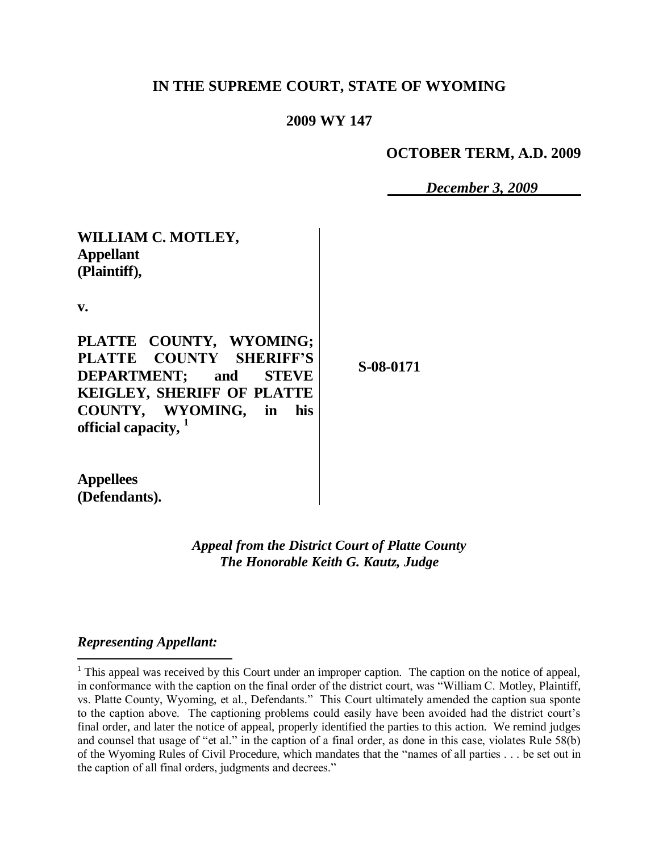# **IN THE SUPREME COURT, STATE OF WYOMING**

## **2009 WY 147**

**OCTOBER TERM, A.D. 2009**

*December 3, 2009*

# **WILLIAM C. MOTLEY, Appellant (Plaintiff),**

**v.**

**PLATTE COUNTY, WYOMING; PLATTE COUNTY SHERIFF'S DEPARTMENT; and STEVE KEIGLEY, SHERIFF OF PLATTE COUNTY, WYOMING, in his official capacity, 1**

**S-08-0171**

**Appellees (Defendants).**

> *Appeal from the District Court of Platte County The Honorable Keith G. Kautz, Judge*

## *Representing Appellant:*

 $\overline{a}$ 

 $1$ . This appeal was received by this Court under an improper caption. The caption on the notice of appeal, in conformance with the caption on the final order of the district court, was "William C. Motley, Plaintiff, vs. Platte County, Wyoming, et al., Defendants." This Court ultimately amended the caption sua sponte to the caption above. The captioning problems could easily have been avoided had the district court's final order, and later the notice of appeal, properly identified the parties to this action. We remind judges and counsel that usage of "et al." in the caption of a final order, as done in this case, violates Rule 58(b) of the Wyoming Rules of Civil Procedure, which mandates that the "names of all parties . . . be set out in the caption of all final orders, judgments and decrees."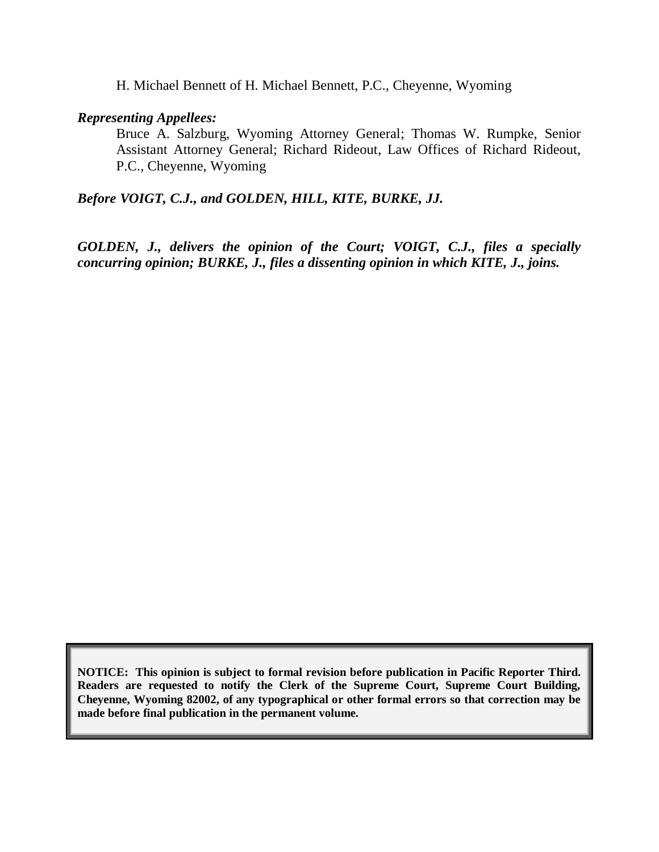H. Michael Bennett of H. Michael Bennett, P.C., Cheyenne, Wyoming

#### *Representing Appellees:*

Bruce A. Salzburg, Wyoming Attorney General; Thomas W. Rumpke, Senior Assistant Attorney General; Richard Rideout, Law Offices of Richard Rideout, P.C., Cheyenne, Wyoming

*Before VOIGT, C.J., and GOLDEN, HILL, KITE, BURKE, JJ.*

*GOLDEN, J., delivers the opinion of the Court; VOIGT, C.J., files a specially concurring opinion; BURKE, J., files a dissenting opinion in which KITE, J., joins.*

**NOTICE: This opinion is subject to formal revision before publication in Pacific Reporter Third. Readers are requested to notify the Clerk of the Supreme Court, Supreme Court Building, Cheyenne, Wyoming 82002, of any typographical or other formal errors so that correction may be made before final publication in the permanent volume.**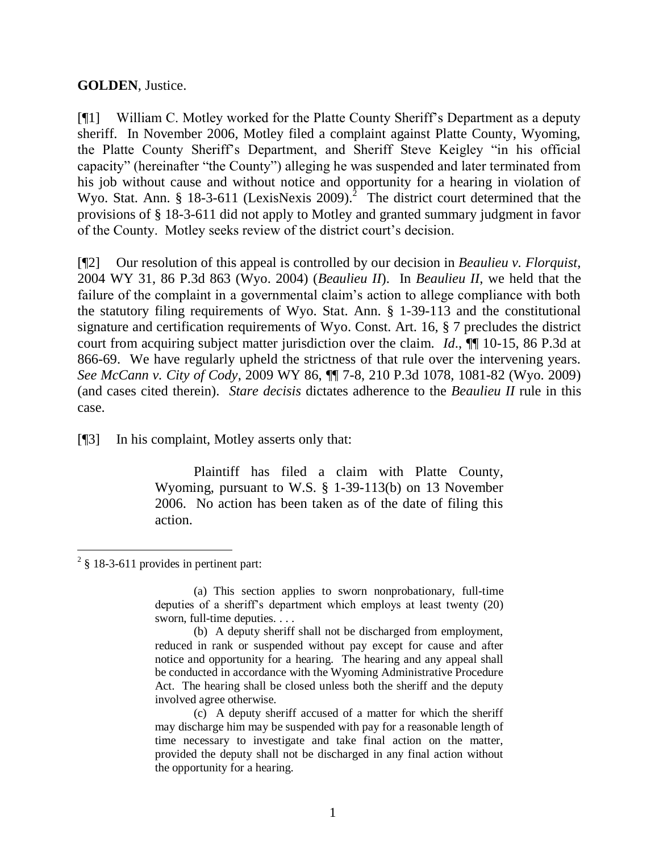#### **GOLDEN**, Justice.

[¶1] William C. Motley worked for the Platte County Sheriff's Department as a deputy sheriff. In November 2006, Motley filed a complaint against Platte County, Wyoming, the Platte County Sheriff's Department, and Sheriff Steve Keigley "in his official capacity" (hereinafter "the County") alleging he was suspended and later terminated from his job without cause and without notice and opportunity for a hearing in violation of Wyo. Stat. Ann. § 18-3-611 (LexisNexis 2009).<sup>2</sup> The district court determined that the provisions of § 18-3-611 did not apply to Motley and granted summary judgment in favor of the County. Motley seeks review of the district court's decision.

[¶2] Our resolution of this appeal is controlled by our decision in *Beaulieu v. Florquist*, 2004 WY 31, 86 P.3d 863 (Wyo. 2004) (*Beaulieu II*). In *Beaulieu II*, we held that the failure of the complaint in a governmental claim's action to allege compliance with both the statutory filing requirements of Wyo. Stat. Ann. § 1-39-113 and the constitutional signature and certification requirements of Wyo. Const. Art. 16, § 7 precludes the district court from acquiring subject matter jurisdiction over the claim. *Id*., ¶¶ 10-15, 86 P.3d at 866-69. We have regularly upheld the strictness of that rule over the intervening years. *See McCann v. City of Cody*, 2009 WY 86, ¶¶ 7-8, 210 P.3d 1078, 1081-82 (Wyo. 2009) (and cases cited therein). *Stare decisis* dictates adherence to the *Beaulieu II* rule in this case.

[¶3] In his complaint, Motley asserts only that:

Plaintiff has filed a claim with Platte County, Wyoming, pursuant to W.S. § 1-39-113(b) on 13 November 2006. No action has been taken as of the date of filing this action.

 $\overline{a}$ 

 $2 \text{ }$  \$ 18-3-611 provides in pertinent part:

<sup>(</sup>a) This section applies to sworn nonprobationary, full-time deputies of a sheriff's department which employs at least twenty (20) sworn, full-time deputies. . . .

<sup>(</sup>b) A deputy sheriff shall not be discharged from employment, reduced in rank or suspended without pay except for cause and after notice and opportunity for a hearing. The hearing and any appeal shall be conducted in accordance with the Wyoming Administrative Procedure Act. The hearing shall be closed unless both the sheriff and the deputy involved agree otherwise.

<sup>(</sup>c) A deputy sheriff accused of a matter for which the sheriff may discharge him may be suspended with pay for a reasonable length of time necessary to investigate and take final action on the matter, provided the deputy shall not be discharged in any final action without the opportunity for a hearing.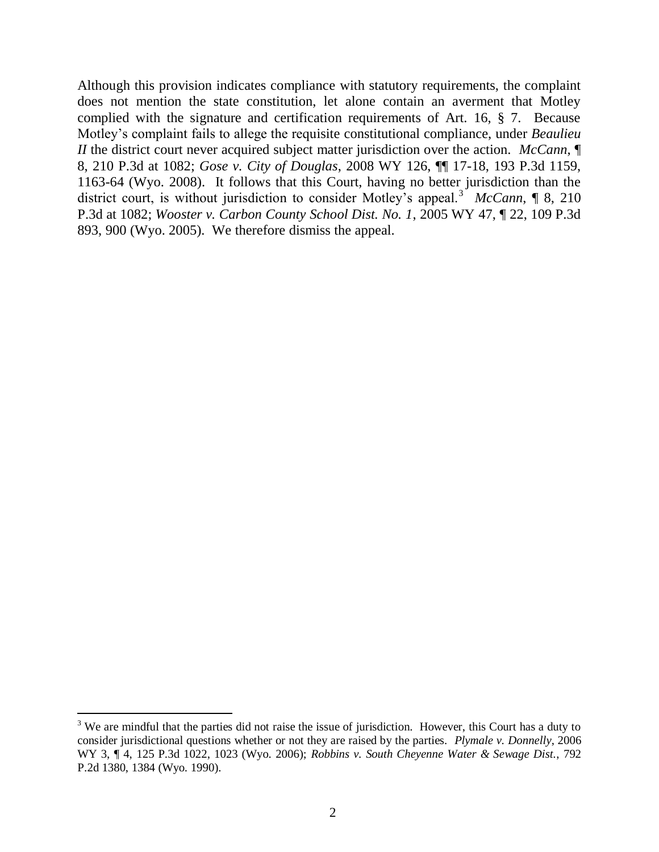Although this provision indicates compliance with statutory requirements, the complaint does not mention the state constitution, let alone contain an averment that Motley complied with the signature and certification requirements of Art. 16, § 7. Because Motley's complaint fails to allege the requisite constitutional compliance, under *Beaulieu II* the district court never acquired subject matter jurisdiction over the action. *McCann*, ¶ 8, 210 P.3d at 1082; *Gose v. City of Douglas*, 2008 WY 126, ¶¶ 17-18, 193 P.3d 1159, 1163-64 (Wyo. 2008). It follows that this Court, having no better jurisdiction than the district court, is without jurisdiction to consider Motley's appeal.<sup>3</sup> McCann, ¶ 8, 210 P.3d at 1082; *Wooster v. Carbon County School Dist. No. 1*, 2005 WY 47, ¶ 22, 109 P.3d 893, 900 (Wyo. 2005). We therefore dismiss the appeal.

 $\overline{a}$ 

<sup>&</sup>lt;sup>3</sup> We are mindful that the parties did not raise the issue of jurisdiction. However, this Court has a duty to consider jurisdictional questions whether or not they are raised by the parties. *Plymale v. Donnelly*, 2006 WY 3, ¶ 4, 125 P.3d 1022, 1023 (Wyo. 2006); *Robbins v. South Cheyenne Water & Sewage Dist.*, 792 P.2d 1380, 1384 (Wyo. 1990).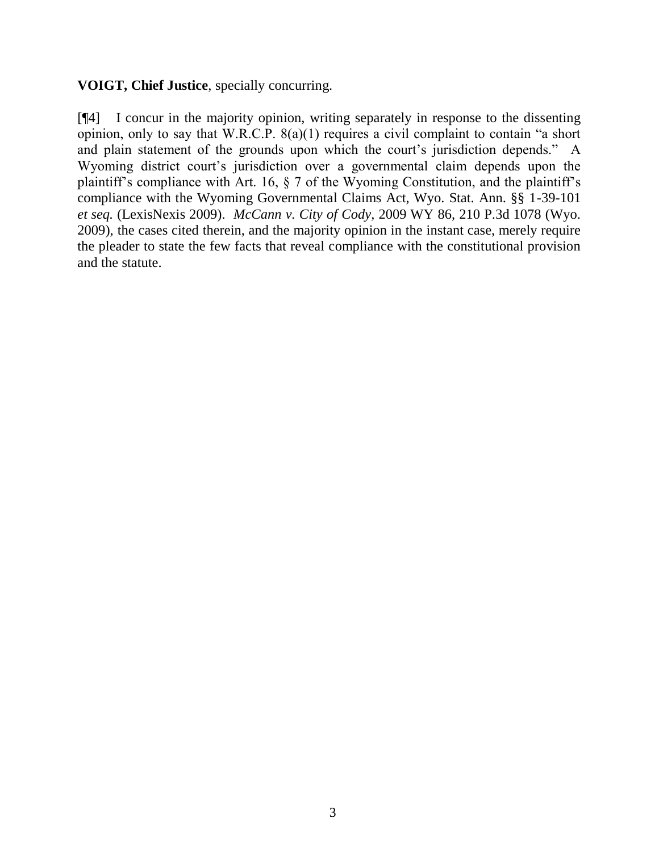## **VOIGT, Chief Justice**, specially concurring.

[¶4] I concur in the majority opinion, writing separately in response to the dissenting opinion, only to say that W.R.C.P. 8(a)(1) requires a civil complaint to contain "a short and plain statement of the grounds upon which the court's jurisdiction depends." A Wyoming district court's jurisdiction over a governmental claim depends upon the plaintiff's compliance with Art. 16, § 7 of the Wyoming Constitution, and the plaintiff's compliance with the Wyoming Governmental Claims Act, Wyo. Stat. Ann. §§ 1-39-101 *et seq.* (LexisNexis 2009). *McCann v. City of Cody*, 2009 WY 86, 210 P.3d 1078 (Wyo. 2009), the cases cited therein, and the majority opinion in the instant case, merely require the pleader to state the few facts that reveal compliance with the constitutional provision and the statute.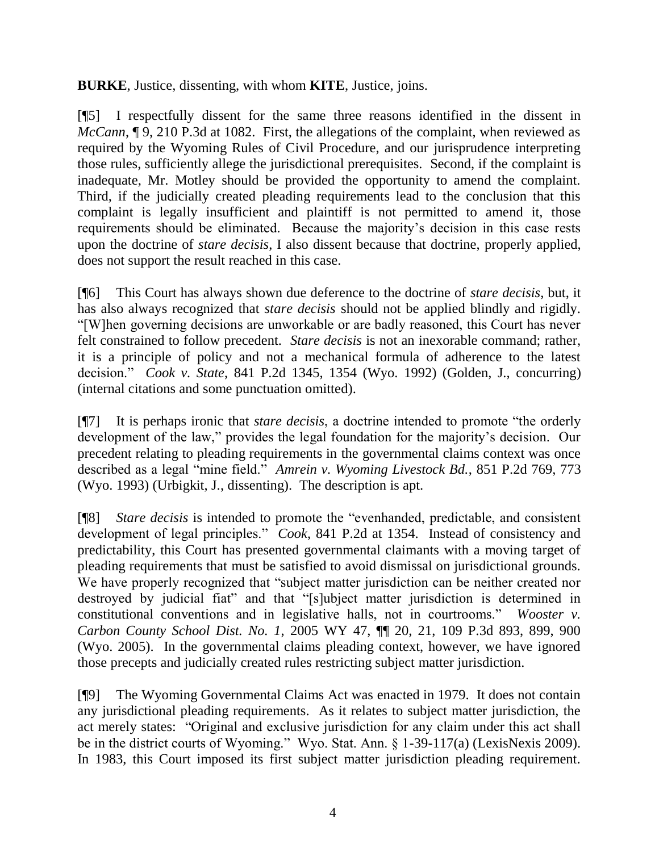**BURKE**, Justice, dissenting, with whom **KITE**, Justice, joins.

[¶5] I respectfully dissent for the same three reasons identified in the dissent in *McCann*, **[9, 210 P.3d at 1082.** First, the allegations of the complaint, when reviewed as required by the Wyoming Rules of Civil Procedure, and our jurisprudence interpreting those rules, sufficiently allege the jurisdictional prerequisites. Second, if the complaint is inadequate, Mr. Motley should be provided the opportunity to amend the complaint. Third, if the judicially created pleading requirements lead to the conclusion that this complaint is legally insufficient and plaintiff is not permitted to amend it, those requirements should be eliminated. Because the majority's decision in this case rests upon the doctrine of *stare decisis*, I also dissent because that doctrine, properly applied, does not support the result reached in this case.

[¶6] This Court has always shown due deference to the doctrine of *stare decisis*, but, it has also always recognized that *stare decisis* should not be applied blindly and rigidly. "[W]hen governing decisions are unworkable or are badly reasoned, this Court has never felt constrained to follow precedent. *Stare decisis* is not an inexorable command; rather, it is a principle of policy and not a mechanical formula of adherence to the latest decision." *Cook v. State*, 841 P.2d 1345, 1354 (Wyo. 1992) (Golden, J., concurring) (internal citations and some punctuation omitted).

[¶7] It is perhaps ironic that *stare decisis*, a doctrine intended to promote "the orderly development of the law," provides the legal foundation for the majority's decision. Our precedent relating to pleading requirements in the governmental claims context was once described as a legal "mine field." *Amrein v. Wyoming Livestock Bd.*, 851 P.2d 769, 773 (Wyo. 1993) (Urbigkit, J., dissenting). The description is apt.

[¶8] *Stare decisis* is intended to promote the "evenhanded, predictable, and consistent development of legal principles." *Cook*, 841 P.2d at 1354. Instead of consistency and predictability, this Court has presented governmental claimants with a moving target of pleading requirements that must be satisfied to avoid dismissal on jurisdictional grounds. We have properly recognized that "subject matter jurisdiction can be neither created nor destroyed by judicial fiat" and that "[s]ubject matter jurisdiction is determined in constitutional conventions and in legislative halls, not in courtrooms." *Wooster v. Carbon County School Dist. No. 1*, 2005 WY 47, ¶¶ 20, 21, 109 P.3d 893, 899, 900 (Wyo. 2005). In the governmental claims pleading context, however, we have ignored those precepts and judicially created rules restricting subject matter jurisdiction.

[¶9] The Wyoming Governmental Claims Act was enacted in 1979. It does not contain any jurisdictional pleading requirements. As it relates to subject matter jurisdiction, the act merely states: "Original and exclusive jurisdiction for any claim under this act shall be in the district courts of Wyoming." Wyo. Stat. Ann. § 1-39-117(a) (LexisNexis 2009). In 1983, this Court imposed its first subject matter jurisdiction pleading requirement.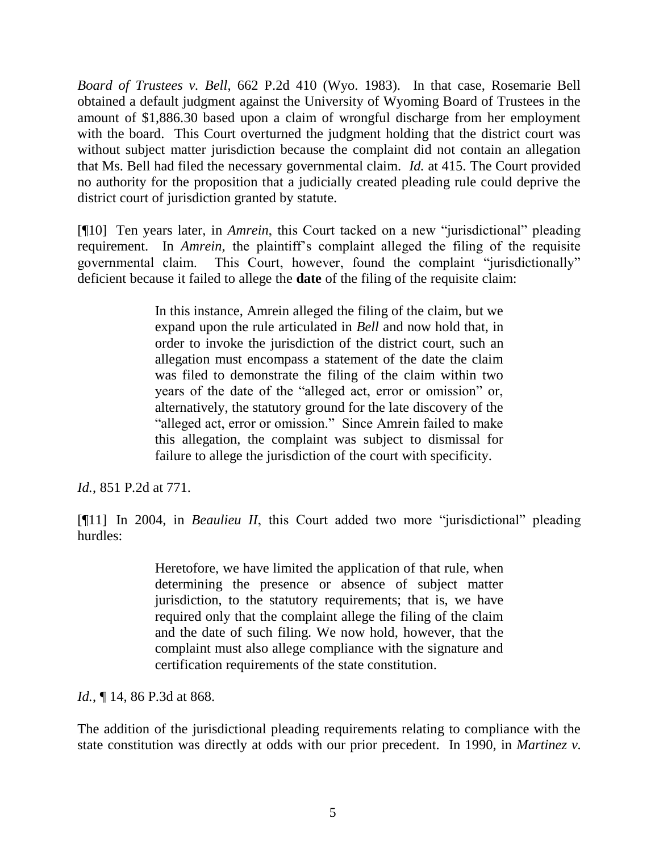*Board of Trustees v. Bell*, 662 P.2d 410 (Wyo. 1983). In that case, Rosemarie Bell obtained a default judgment against the University of Wyoming Board of Trustees in the amount of \$1,886.30 based upon a claim of wrongful discharge from her employment with the board. This Court overturned the judgment holding that the district court was without subject matter jurisdiction because the complaint did not contain an allegation that Ms. Bell had filed the necessary governmental claim. *Id.* at 415. The Court provided no authority for the proposition that a judicially created pleading rule could deprive the district court of jurisdiction granted by statute.

[¶10] Ten years later, in *Amrein*, this Court tacked on a new "jurisdictional" pleading requirement. In *Amrein*, the plaintiff's complaint alleged the filing of the requisite governmental claim. This Court, however, found the complaint "jurisdictionally" deficient because it failed to allege the **date** of the filing of the requisite claim:

> In this instance, Amrein alleged the filing of the claim, but we expand upon the rule articulated in *Bell* and now hold that, in order to invoke the jurisdiction of the district court, such an allegation must encompass a statement of the date the claim was filed to demonstrate the filing of the claim within two years of the date of the "alleged act, error or omission" or, alternatively, the statutory ground for the late discovery of the "alleged act, error or omission." Since Amrein failed to make this allegation, the complaint was subject to dismissal for failure to allege the jurisdiction of the court with specificity.

*Id.*, 851 P.2d at 771.

[¶11] In 2004, in *Beaulieu II*, this Court added two more "jurisdictional" pleading hurdles:

> Heretofore, we have limited the application of that rule, when determining the presence or absence of subject matter jurisdiction, to the statutory requirements; that is, we have required only that the complaint allege the filing of the claim and the date of such filing. We now hold, however, that the complaint must also allege compliance with the signature and certification requirements of the state constitution.

*Id.*, ¶ 14, 86 P.3d at 868.

The addition of the jurisdictional pleading requirements relating to compliance with the state constitution was directly at odds with our prior precedent. In 1990, in *Martinez v.*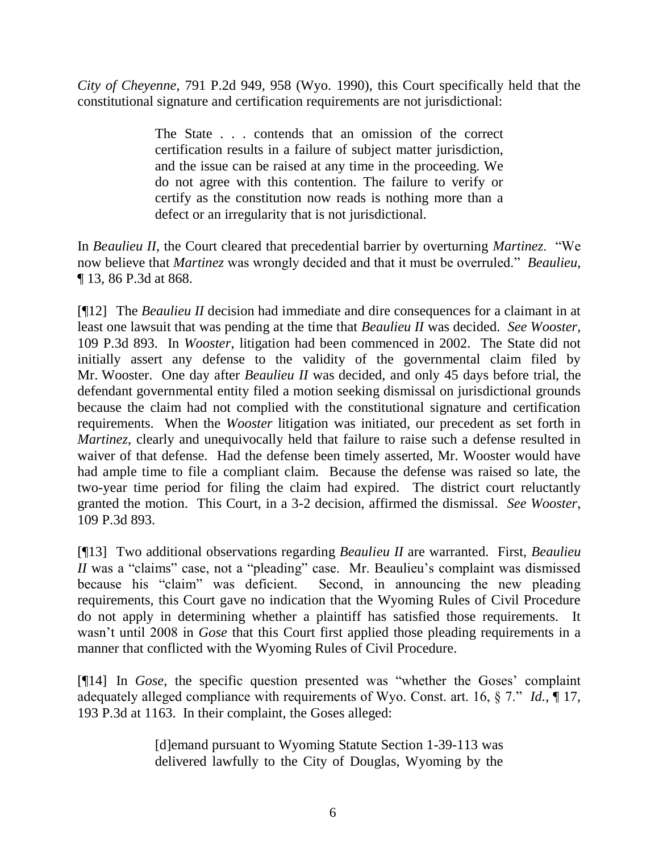*City of Cheyenne*, 791 P.2d 949, 958 (Wyo. 1990), this Court specifically held that the constitutional signature and certification requirements are not jurisdictional:

> The State . . . contends that an omission of the correct certification results in a failure of subject matter jurisdiction, and the issue can be raised at any time in the proceeding. We do not agree with this contention. The failure to verify or certify as the constitution now reads is nothing more than a defect or an irregularity that is not jurisdictional.

In *Beaulieu II*, the Court cleared that precedential barrier by overturning *Martinez*. "We now believe that *Martinez* was wrongly decided and that it must be overruled." *Beaulieu*, ¶ 13, 86 P.3d at 868.

[¶12] The *Beaulieu II* decision had immediate and dire consequences for a claimant in at least one lawsuit that was pending at the time that *Beaulieu II* was decided. *See Wooster*, 109 P.3d 893. In *Wooster*, litigation had been commenced in 2002. The State did not initially assert any defense to the validity of the governmental claim filed by Mr. Wooster. One day after *Beaulieu II* was decided, and only 45 days before trial, the defendant governmental entity filed a motion seeking dismissal on jurisdictional grounds because the claim had not complied with the constitutional signature and certification requirements. When the *Wooster* litigation was initiated, our precedent as set forth in *Martinez*, clearly and unequivocally held that failure to raise such a defense resulted in waiver of that defense. Had the defense been timely asserted, Mr. Wooster would have had ample time to file a compliant claim. Because the defense was raised so late, the two-year time period for filing the claim had expired. The district court reluctantly granted the motion. This Court, in a 3-2 decision, affirmed the dismissal. *See Wooster*, 109 P.3d 893.

[¶13] Two additional observations regarding *Beaulieu II* are warranted. First, *Beaulieu II* was a "claims" case, not a "pleading" case. Mr. Beaulieu's complaint was dismissed because his "claim" was deficient. Second, in announcing the new pleading Second, in announcing the new pleading. requirements, this Court gave no indication that the Wyoming Rules of Civil Procedure do not apply in determining whether a plaintiff has satisfied those requirements. It wasn't until 2008 in *Gose* that this Court first applied those pleading requirements in a manner that conflicted with the Wyoming Rules of Civil Procedure.

[¶14] In *Gose*, the specific question presented was "whether the Goses' complaint adequately alleged compliance with requirements of Wyo. Const. art. 16, § 7." *Id.*, ¶ 17, 193 P.3d at 1163. In their complaint, the Goses alleged:

> [d]emand pursuant to Wyoming Statute Section 1-39-113 was delivered lawfully to the City of Douglas, Wyoming by the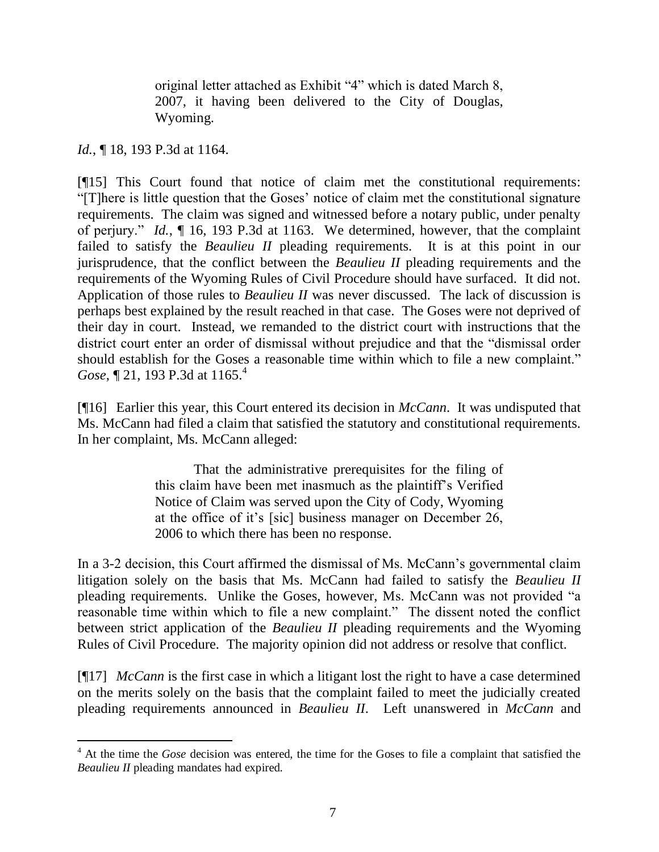original letter attached as Exhibit "4" which is dated March 8, 2007, it having been delivered to the City of Douglas, Wyoming.

## *Id.*, **[18, 193 P.3d at 1164.**

 $\overline{a}$ 

[¶15] This Court found that notice of claim met the constitutional requirements: "[T]here is little question that the Goses' notice of claim met the constitutional signature requirements. The claim was signed and witnessed before a notary public, under penalty of perjury." *Id.*, ¶ 16, 193 P.3d at 1163. We determined, however, that the complaint failed to satisfy the *Beaulieu II* pleading requirements. It is at this point in our jurisprudence, that the conflict between the *Beaulieu II* pleading requirements and the requirements of the Wyoming Rules of Civil Procedure should have surfaced. It did not. Application of those rules to *Beaulieu II* was never discussed. The lack of discussion is perhaps best explained by the result reached in that case. The Goses were not deprived of their day in court. Instead, we remanded to the district court with instructions that the district court enter an order of dismissal without prejudice and that the "dismissal order should establish for the Goses a reasonable time within which to file a new complaint." *Gose*, 121, 193 P.3d at 1165.<sup>4</sup>

[¶16] Earlier this year, this Court entered its decision in *McCann*. It was undisputed that Ms. McCann had filed a claim that satisfied the statutory and constitutional requirements. In her complaint, Ms. McCann alleged:

> That the administrative prerequisites for the filing of this claim have been met inasmuch as the plaintiff's Verified Notice of Claim was served upon the City of Cody, Wyoming at the office of it's [sic] business manager on December 26, 2006 to which there has been no response.

In a 3-2 decision, this Court affirmed the dismissal of Ms. McCann's governmental claim litigation solely on the basis that Ms. McCann had failed to satisfy the *Beaulieu II* pleading requirements. Unlike the Goses, however, Ms. McCann was not provided "a reasonable time within which to file a new complaint." The dissent noted the conflict between strict application of the *Beaulieu II* pleading requirements and the Wyoming Rules of Civil Procedure. The majority opinion did not address or resolve that conflict.

[¶17] *McCann* is the first case in which a litigant lost the right to have a case determined on the merits solely on the basis that the complaint failed to meet the judicially created pleading requirements announced in *Beaulieu II*. Left unanswered in *McCann* and

<sup>&</sup>lt;sup>4</sup> At the time the *Gose* decision was entered, the time for the Goses to file a complaint that satisfied the *Beaulieu II* pleading mandates had expired.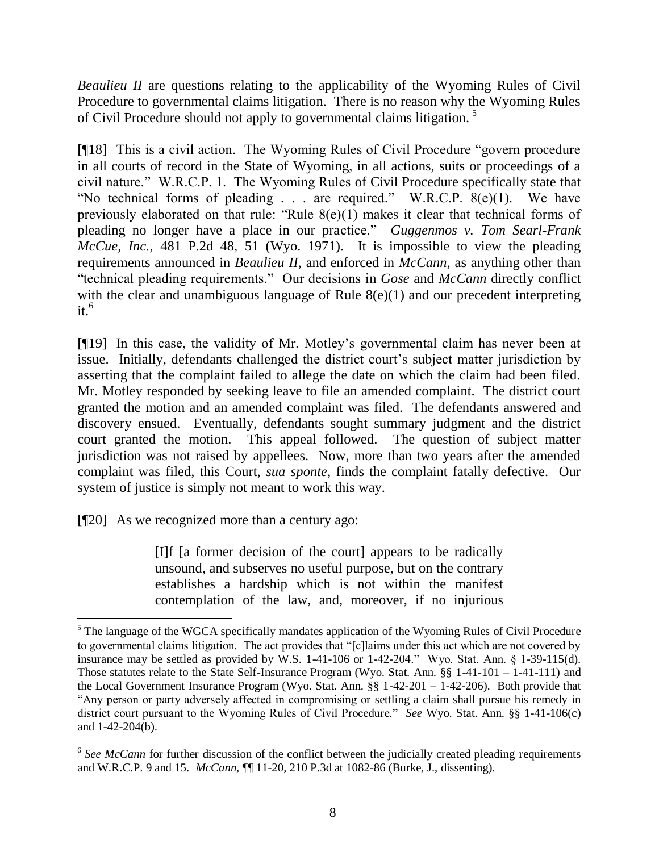*Beaulieu II* are questions relating to the applicability of the Wyoming Rules of Civil Procedure to governmental claims litigation. There is no reason why the Wyoming Rules of Civil Procedure should not apply to governmental claims litigation. <sup>5</sup>

[¶18] This is a civil action. The Wyoming Rules of Civil Procedure "govern procedure in all courts of record in the State of Wyoming, in all actions, suits or proceedings of a civil nature." W.R.C.P. 1. The Wyoming Rules of Civil Procedure specifically state that "No technical forms of pleading  $\ldots$  are required." W.R.C.P. 8(e)(1). We have previously elaborated on that rule: "Rule 8(e)(1) makes it clear that technical forms of pleading no longer have a place in our practice." *Guggenmos v. Tom Searl-Frank McCue, Inc.*, 481 P.2d 48, 51 (Wyo. 1971). It is impossible to view the pleading requirements announced in *Beaulieu II*, and enforced in *McCann*, as anything other than "technical pleading requirements." Our decisions in *Gose* and *McCann* directly conflict with the clear and unambiguous language of Rule 8(e)(1) and our precedent interpreting it.<sup>6</sup>

[¶19] In this case, the validity of Mr. Motley's governmental claim has never been at issue. Initially, defendants challenged the district court's subject matter jurisdiction by asserting that the complaint failed to allege the date on which the claim had been filed. Mr. Motley responded by seeking leave to file an amended complaint. The district court granted the motion and an amended complaint was filed. The defendants answered and discovery ensued. Eventually, defendants sought summary judgment and the district court granted the motion. This appeal followed. The question of subject matter jurisdiction was not raised by appellees. Now, more than two years after the amended complaint was filed, this Court, *sua sponte*, finds the complaint fatally defective. Our system of justice is simply not meant to work this way.

[¶20] As we recognized more than a century ago:

 $\overline{a}$ 

[I]f [a former decision of the court] appears to be radically unsound, and subserves no useful purpose, but on the contrary establishes a hardship which is not within the manifest contemplation of the law, and, moreover, if no injurious

<sup>&</sup>lt;sup>5</sup> The language of the WGCA specifically mandates application of the Wyoming Rules of Civil Procedure to governmental claims litigation. The act provides that "[c]laims under this act which are not covered by insurance may be settled as provided by W.S. 1-41-106 or 1-42-204." Wyo. Stat. Ann. § 1-39-115(d). Those statutes relate to the State Self-Insurance Program (Wyo. Stat. Ann. §§ 1-41-101 – 1-41-111) and the Local Government Insurance Program (Wyo. Stat. Ann. §§ 1-42-201 – 1-42-206). Both provide that "Any person or party adversely affected in compromising or settling a claim shall pursue his remedy in district court pursuant to the Wyoming Rules of Civil Procedure." *See* Wyo. Stat. Ann. §§ 1-41-106(c) and 1-42-204(b).

<sup>&</sup>lt;sup>6</sup> See McCann for further discussion of the conflict between the judicially created pleading requirements and W.R.C.P. 9 and 15. *McCann*, ¶¶ 11-20, 210 P.3d at 1082-86 (Burke, J., dissenting).